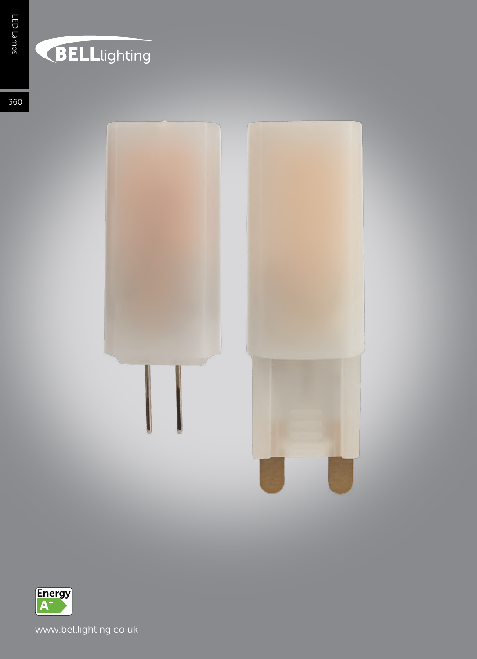## BELLlighting

360





www.belllighting.co.uk